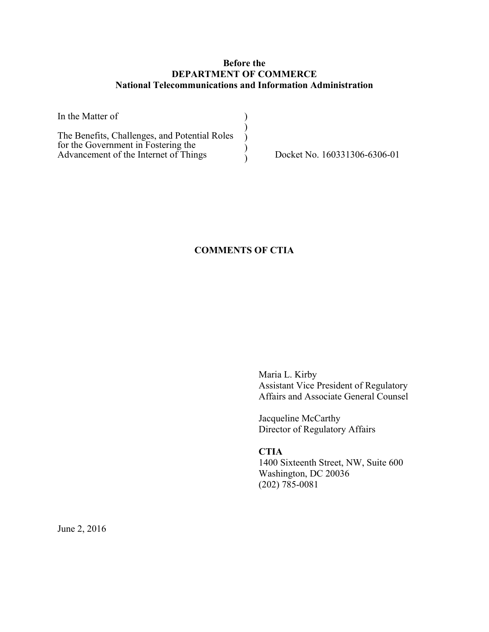## **Before the DEPARTMENT OF COMMERCE National Telecommunications and Information Administration**

| In the Matter of                                                                                                              |                              |
|-------------------------------------------------------------------------------------------------------------------------------|------------------------------|
| The Benefits, Challenges, and Potential Roles<br>for the Government in Fostering the<br>Advancement of the Internet of Things | Docket No. 160331306-6306-01 |

## **COMMENTS OF CTIA**

Maria L. Kirby Assistant Vice President of Regulatory Affairs and Associate General Counsel

Jacqueline McCarthy Director of Regulatory Affairs

### **CTIA**

1400 Sixteenth Street, NW, Suite 600 Washington, DC 20036 (202) 785-0081

June 2, 2016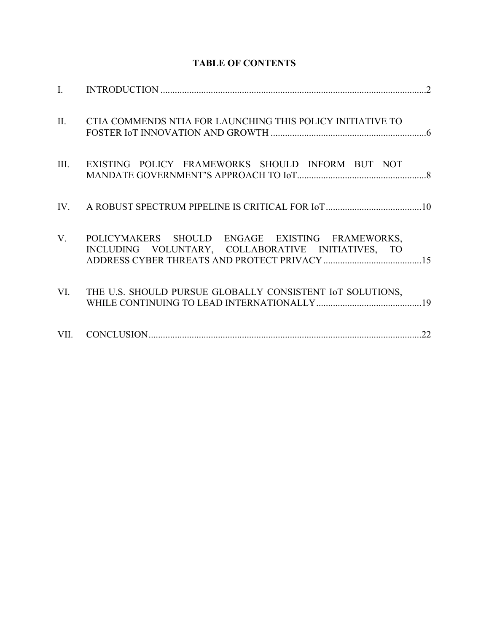| II. | CTIA COMMENDS NTIA FOR LAUNCHING THIS POLICY INITIATIVE TO                                               |  |
|-----|----------------------------------------------------------------------------------------------------------|--|
|     | III. EXISTING POLICY FRAMEWORKS SHOULD INFORM BUT NOT                                                    |  |
|     |                                                                                                          |  |
|     | V. POLICYMAKERS SHOULD ENGAGE EXISTING FRAMEWORKS,<br>INCLUDING VOLUNTARY, COLLABORATIVE INITIATIVES, TO |  |
| VI. | THE U.S. SHOULD PURSUE GLOBALLY CONSISTENT IOT SOLUTIONS,                                                |  |
|     |                                                                                                          |  |

# **TABLE OF CONTENTS**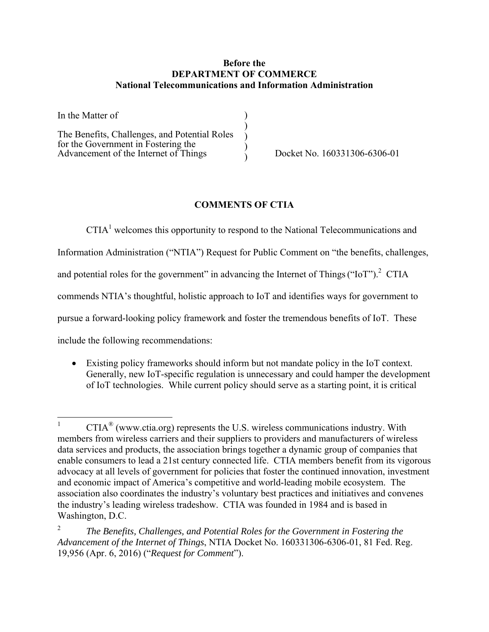### **Before the DEPARTMENT OF COMMERCE National Telecommunications and Information Administration**

| In the Matter of                                                                     |  |
|--------------------------------------------------------------------------------------|--|
| The Benefits, Challenges, and Potential Roles<br>for the Government in Fostering the |  |
| Advancement of the Internet of Things                                                |  |

) Docket No. 160331306-6306-01

## **COMMENTS OF CTIA**

 $CTIA<sup>1</sup>$  welcomes this opportunity to respond to the National Telecommunications and

Information Administration ("NTIA") Request for Public Comment on "the benefits, challenges,

and potential roles for the government" in advancing the Internet of Things ("IoT").<sup>2</sup> CTIA

commends NTIA's thoughtful, holistic approach to IoT and identifies ways for government to

pursue a forward-looking policy framework and foster the tremendous benefits of IoT. These

include the following recommendations:

 Existing policy frameworks should inform but not mandate policy in the IoT context. Generally, new IoT-specific regulation is unnecessary and could hamper the development of IoT technologies. While current policy should serve as a starting point, it is critical

 $\frac{1}{1}$  $CTIA<sup>®</sup>$  (www.ctia.org) represents the U.S. wireless communications industry. With members from wireless carriers and their suppliers to providers and manufacturers of wireless data services and products, the association brings together a dynamic group of companies that enable consumers to lead a 21st century connected life. CTIA members benefit from its vigorous advocacy at all levels of government for policies that foster the continued innovation, investment and economic impact of America's competitive and world-leading mobile ecosystem. The association also coordinates the industry's voluntary best practices and initiatives and convenes the industry's leading wireless tradeshow. CTIA was founded in 1984 and is based in Washington, D.C.

<sup>2</sup> *The Benefits, Challenges, and Potential Roles for the Government in Fostering the Advancement of the Internet of Things*, NTIA Docket No. 160331306-6306-01, 81 Fed. Reg. 19,956 (Apr. 6, 2016) ("*Request for Comment*").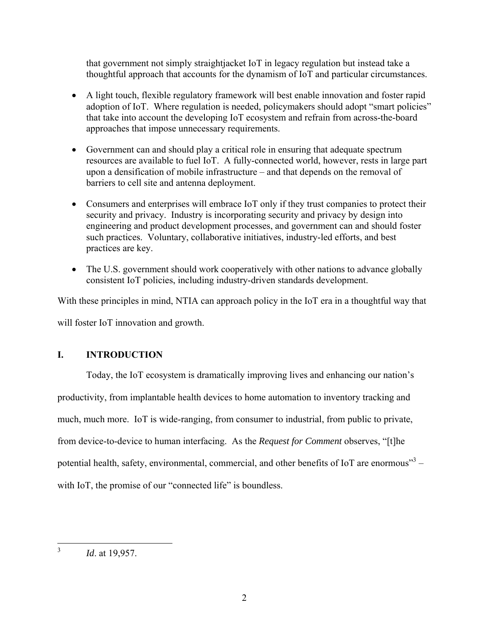that government not simply straightjacket IoT in legacy regulation but instead take a thoughtful approach that accounts for the dynamism of IoT and particular circumstances.

- A light touch, flexible regulatory framework will best enable innovation and foster rapid adoption of IoT. Where regulation is needed, policymakers should adopt "smart policies" that take into account the developing IoT ecosystem and refrain from across-the-board approaches that impose unnecessary requirements.
- Government can and should play a critical role in ensuring that adequate spectrum resources are available to fuel IoT. A fully-connected world, however, rests in large part upon a densification of mobile infrastructure – and that depends on the removal of barriers to cell site and antenna deployment.
- Consumers and enterprises will embrace IoT only if they trust companies to protect their security and privacy. Industry is incorporating security and privacy by design into engineering and product development processes, and government can and should foster such practices. Voluntary, collaborative initiatives, industry-led efforts, and best practices are key.
- The U.S. government should work cooperatively with other nations to advance globally consistent IoT policies, including industry-driven standards development.

With these principles in mind, NTIA can approach policy in the IoT era in a thoughtful way that will foster IoT innovation and growth.

# **I. INTRODUCTION**

Today, the IoT ecosystem is dramatically improving lives and enhancing our nation's productivity, from implantable health devices to home automation to inventory tracking and much, much more. IoT is wide-ranging, from consumer to industrial, from public to private, from device-to-device to human interfacing. As the *Request for Comment* observes, "[t]he potential health, safety, environmental, commercial, and other benefits of IoT are enormous $^{\cdot\cdot\cdot}$ with IoT, the promise of our "connected life" is boundless.

 $\frac{1}{3}$ 

*Id*. at 19,957.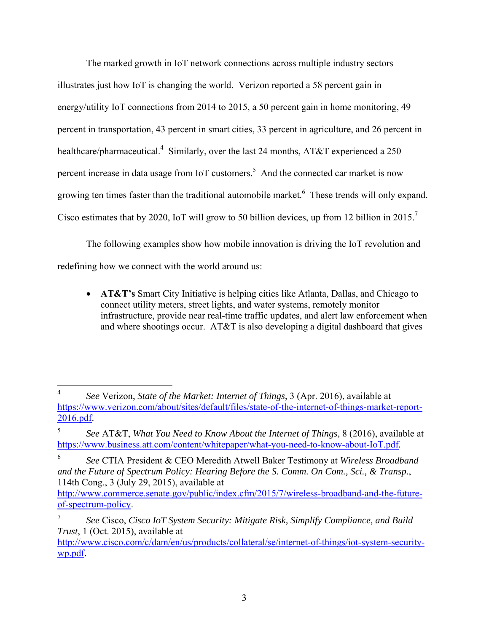The marked growth in IoT network connections across multiple industry sectors illustrates just how IoT is changing the world. Verizon reported a 58 percent gain in energy/utility IoT connections from 2014 to 2015, a 50 percent gain in home monitoring, 49 percent in transportation, 43 percent in smart cities, 33 percent in agriculture, and 26 percent in healthcare/pharmaceutical.<sup>4</sup> Similarly, over the last 24 months, AT&T experienced a 250 percent increase in data usage from IoT customers.<sup>5</sup> And the connected car market is now growing ten times faster than the traditional automobile market. 6 These trends will only expand. Cisco estimates that by 2020, IoT will grow to 50 billion devices, up from 12 billion in 2015.<sup>7</sup>

The following examples show how mobile innovation is driving the IoT revolution and redefining how we connect with the world around us:

 **AT&T's** Smart City Initiative is helping cities like Atlanta, Dallas, and Chicago to connect utility meters, street lights, and water systems, remotely monitor infrastructure, provide near real-time traffic updates, and alert law enforcement when and where shootings occur. AT&T is also developing a digital dashboard that gives

<sup>1</sup> 4 *See* Verizon, *State of the Market: Internet of Things*, 3 (Apr. 2016), available at https://www.verizon.com/about/sites/default/files/state-of-the-internet-of-things-market-report-2016.pdf.

<sup>5</sup> *See* AT&T, *What You Need to Know About the Internet of Things*, 8 (2016), available at https://www.business.att.com/content/whitepaper/what-you-need-to-know-about-IoT.pdf*.*

<sup>6</sup> *See* CTIA President & CEO Meredith Atwell Baker Testimony at *Wireless Broadband and the Future of Spectrum Policy: Hearing Before the S. Comm. On Com., Sci., & Transp.*, 114th Cong., 3 (July 29, 2015), available at

http://www.commerce.senate.gov/public/index.cfm/2015/7/wireless-broadband-and-the-futureof-spectrum-policy.

<sup>7</sup> *See* Cisco, *Cisco IoT System Security: Mitigate Risk, Simplify Compliance, and Build Trust*, 1 (Oct. 2015), available at

http://www.cisco.com/c/dam/en/us/products/collateral/se/internet-of-things/iot-system-securitywp.pdf.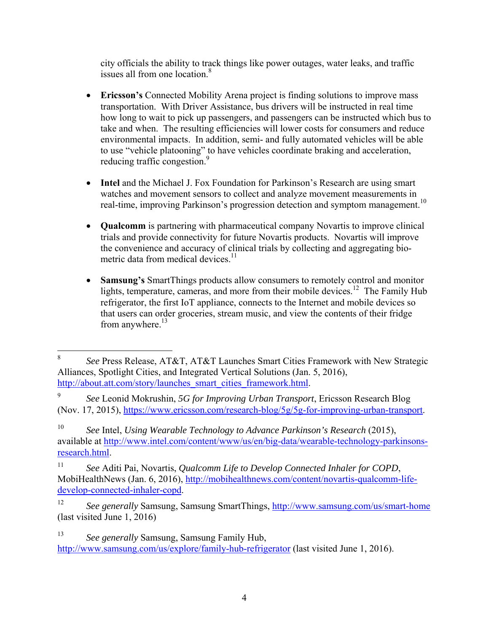city officials the ability to track things like power outages, water leaks, and traffic issues all from one location.<sup>8</sup>

- **Ericsson's** Connected Mobility Arena project is finding solutions to improve mass transportation. With Driver Assistance, bus drivers will be instructed in real time how long to wait to pick up passengers, and passengers can be instructed which bus to take and when. The resulting efficiencies will lower costs for consumers and reduce environmental impacts. In addition, semi- and fully automated vehicles will be able to use "vehicle platooning" to have vehicles coordinate braking and acceleration, reducing traffic congestion.<sup>9</sup>
- **Intel** and the Michael J. Fox Foundation for Parkinson's Research are using smart watches and movement sensors to collect and analyze movement measurements in real-time, improving Parkinson's progression detection and symptom management.<sup>10</sup>
- **Qualcomm** is partnering with pharmaceutical company Novartis to improve clinical trials and provide connectivity for future Novartis products. Novartis will improve the convenience and accuracy of clinical trials by collecting and aggregating biometric data from medical devices.<sup>11</sup>
- **Samsung's** SmartThings products allow consumers to remotely control and monitor lights, temperature, cameras, and more from their mobile devices.<sup>12</sup> The Family Hub refrigerator, the first IoT appliance, connects to the Internet and mobile devices so that users can order groceries, stream music, and view the contents of their fridge from anywhere. $^{13}$

 8 *See* Press Release, AT&T, AT&T Launches Smart Cities Framework with New Strategic Alliances, Spotlight Cities, and Integrated Vertical Solutions (Jan. 5, 2016), http://about.att.com/story/launches\_smart\_cities\_framework.html.

<sup>9</sup> *See* Leonid Mokrushin, *5G for Improving Urban Transport*, Ericsson Research Blog (Nov. 17, 2015), https://www.ericsson.com/research-blog/5g/5g-for-improving-urban-transport.

<sup>10</sup> *See* Intel, *Using Wearable Technology to Advance Parkinson's Research* (2015), available at http://www.intel.com/content/www/us/en/big-data/wearable-technology-parkinsonsresearch.html.

<sup>11</sup> *See* Aditi Pai, Novartis, *Qualcomm Life to Develop Connected Inhaler for COPD*, MobiHealthNews (Jan. 6, 2016), http://mobihealthnews.com/content/novartis-qualcomm-lifedevelop-connected-inhaler-copd.

<sup>12</sup> *See generally* Samsung, Samsung SmartThings, http://www.samsung.com/us/smart-home (last visited June 1, 2016)

<sup>13</sup> *See generally* Samsung, Samsung Family Hub, http://www.samsung.com/us/explore/family-hub-refrigerator (last visited June 1, 2016).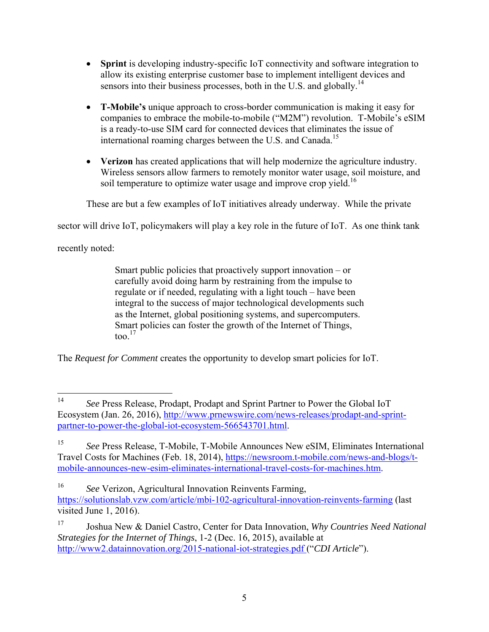- **Sprint** is developing industry-specific IoT connectivity and software integration to allow its existing enterprise customer base to implement intelligent devices and sensors into their business processes, both in the U.S. and globally.<sup>14</sup>
- **T-Mobile's** unique approach to cross-border communication is making it easy for companies to embrace the mobile-to-mobile ("M2M") revolution. T-Mobile's eSIM is a ready-to-use SIM card for connected devices that eliminates the issue of international roaming charges between the U.S. and Canada.<sup>15</sup>
- **Verizon** has created applications that will help modernize the agriculture industry. Wireless sensors allow farmers to remotely monitor water usage, soil moisture, and soil temperature to optimize water usage and improve crop yield.<sup>16</sup>

These are but a few examples of IoT initiatives already underway. While the private

sector will drive IoT, policymakers will play a key role in the future of IoT. As one think tank

recently noted:

Smart public policies that proactively support innovation – or carefully avoid doing harm by restraining from the impulse to regulate or if needed, regulating with a light touch – have been integral to the success of major technological developments such as the Internet, global positioning systems, and supercomputers. Smart policies can foster the growth of the Internet of Things, too $17$ 

The *Request for Comment* creates the opportunity to develop smart policies for IoT.

 $14$ 14 *See* Press Release, Prodapt, Prodapt and Sprint Partner to Power the Global IoT Ecosystem (Jan. 26, 2016), http://www.prnewswire.com/news-releases/prodapt-and-sprintpartner-to-power-the-global-iot-ecosystem-566543701.html.

<sup>15</sup> *See* Press Release, T-Mobile, T-Mobile Announces New eSIM, Eliminates International Travel Costs for Machines (Feb. 18, 2014), https://newsroom.t-mobile.com/news-and-blogs/tmobile-announces-new-esim-eliminates-international-travel-costs-for-machines.htm.

<sup>16</sup> *See* Verizon, Agricultural Innovation Reinvents Farming, https://solutionslab.vzw.com/article/mbi-102-agricultural-innovation-reinvents-farming (last visited June 1, 2016).

<sup>17</sup> Joshua New & Daniel Castro, Center for Data Innovation, *Why Countries Need National Strategies for the Internet of Things*, 1-2 (Dec. 16, 2015), available at http://www2.datainnovation.org/2015-national-iot-strategies.pdf ("*CDI Article*").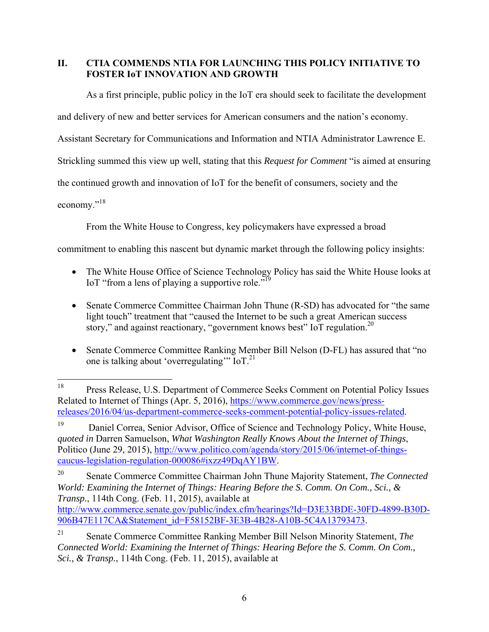## **II. CTIA COMMENDS NTIA FOR LAUNCHING THIS POLICY INITIATIVE TO FOSTER IoT INNOVATION AND GROWTH**

As a first principle, public policy in the IoT era should seek to facilitate the development

and delivery of new and better services for American consumers and the nation's economy.

Assistant Secretary for Communications and Information and NTIA Administrator Lawrence E.

Strickling summed this view up well, stating that this *Request for Comment* "is aimed at ensuring

the continued growth and innovation of IoT for the benefit of consumers, society and the

economy."<sup>18</sup>

From the White House to Congress, key policymakers have expressed a broad

commitment to enabling this nascent but dynamic market through the following policy insights:

- The White House Office of Science Technology Policy has said the White House looks at IoT "from a lens of playing a supportive role."<sup>19</sup>
- Senate Commerce Committee Chairman John Thune (R-SD) has advocated for "the same light touch" treatment that "caused the Internet to be such a great American success story," and against reactionary, "government knows best" IoT regulation.<sup>20</sup>
- Senate Commerce Committee Ranking Member Bill Nelson (D-FL) has assured that "no one is talking about 'overregulating'" IoT.21

20 Senate Commerce Committee Chairman John Thune Majority Statement, *The Connected World: Examining the Internet of Things: Hearing Before the S. Comm. On Com., Sci., & Transp.*, 114th Cong. (Feb. 11, 2015), available at http://www.commerce.senate.gov/public/index.cfm/hearings?Id=D3E33BDE-30FD-4899-B30D-906B47E117CA&Statement\_id=F58152BF-3E3B-4B28-A10B-5C4A13793473.

<sup>18</sup> 18 Press Release, U.S. Department of Commerce Seeks Comment on Potential Policy Issues Related to Internet of Things (Apr. 5, 2016), https://www.commerce.gov/news/pressreleases/2016/04/us-department-commerce-seeks-comment-potential-policy-issues-related.

<sup>&</sup>lt;sup>19</sup> Daniel Correa, Senior Advisor, Office of Science and Technology Policy, White House, *quoted in* Darren Samuelson, *What Washington Really Knows About the Internet of Things*, Politico (June 29, 2015), http://www.politico.com/agenda/story/2015/06/internet-of-thingscaucus-legislation-regulation-000086#ixzz49DqAY1BW.

<sup>21</sup> Senate Commerce Committee Ranking Member Bill Nelson Minority Statement, *The Connected World: Examining the Internet of Things: Hearing Before the S. Comm. On Com., Sci., & Transp.*, 114th Cong. (Feb. 11, 2015), available at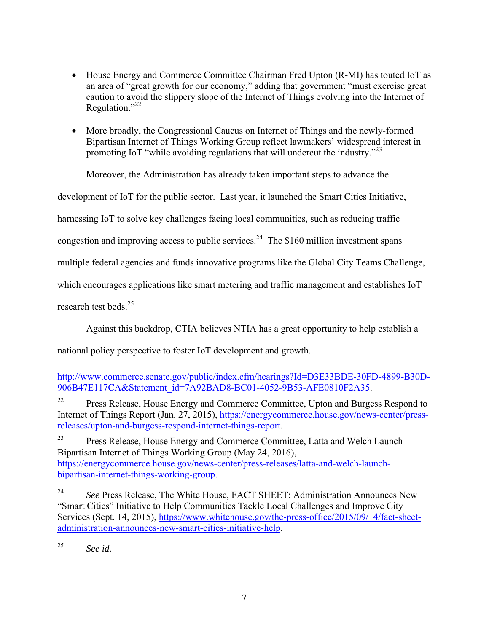- House Energy and Commerce Committee Chairman Fred Upton (R-MI) has touted IoT as an area of "great growth for our economy," adding that government "must exercise great caution to avoid the slippery slope of the Internet of Things evolving into the Internet of Regulation." $^{22}$
- More broadly, the Congressional Caucus on Internet of Things and the newly-formed Bipartisan Internet of Things Working Group reflect lawmakers' widespread interest in promoting IoT "while avoiding regulations that will undercut the industry."<sup>23</sup>

Moreover, the Administration has already taken important steps to advance the

development of IoT for the public sector. Last year, it launched the Smart Cities Initiative,

harnessing IoT to solve key challenges facing local communities, such as reducing traffic

congestion and improving access to public services.<sup>24</sup> The \$160 million investment spans

multiple federal agencies and funds innovative programs like the Global City Teams Challenge,

which encourages applications like smart metering and traffic management and establishes IoT

research test beds $^{25}$ 

1

Against this backdrop, CTIA believes NTIA has a great opportunity to help establish a

national policy perspective to foster IoT development and growth.

<sup>23</sup> Press Release, House Energy and Commerce Committee, Latta and Welch Launch Bipartisan Internet of Things Working Group (May 24, 2016), https://energycommerce.house.gov/news-center/press-releases/latta-and-welch-launchbipartisan-internet-things-working-group.

25 *See id.*

http://www.commerce.senate.gov/public/index.cfm/hearings?Id=D3E33BDE-30FD-4899-B30D-906B47E117CA&Statement\_id=7A92BAD8-BC01-4052-9B53-AFE0810F2A35.

<sup>&</sup>lt;sup>22</sup> Press Release, House Energy and Commerce Committee, Upton and Burgess Respond to Internet of Things Report (Jan. 27, 2015), https://energycommerce.house.gov/news-center/pressreleases/upton-and-burgess-respond-internet-things-report.

<sup>24</sup> *See* Press Release, The White House, FACT SHEET: Administration Announces New "Smart Cities" Initiative to Help Communities Tackle Local Challenges and Improve City Services (Sept. 14, 2015), https://www.whitehouse.gov/the-press-office/2015/09/14/fact-sheetadministration-announces-new-smart-cities-initiative-help.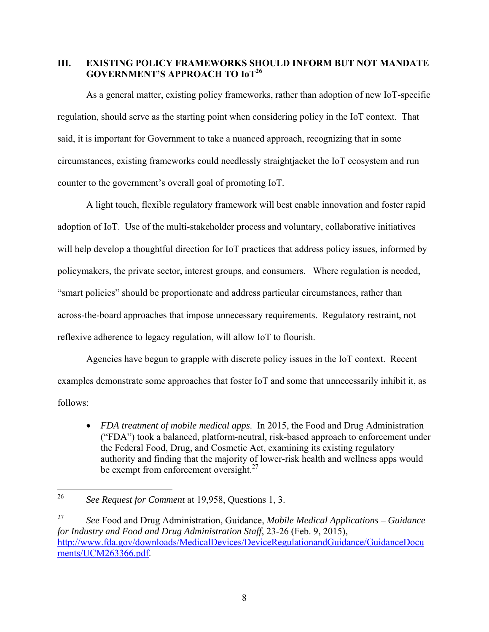## **III. EXISTING POLICY FRAMEWORKS SHOULD INFORM BUT NOT MANDATE GOVERNMENT'S APPROACH TO IoT<sup>26</sup>**

As a general matter, existing policy frameworks, rather than adoption of new IoT-specific regulation, should serve as the starting point when considering policy in the IoT context. That said, it is important for Government to take a nuanced approach, recognizing that in some circumstances, existing frameworks could needlessly straightjacket the IoT ecosystem and run counter to the government's overall goal of promoting IoT.

A light touch, flexible regulatory framework will best enable innovation and foster rapid adoption of IoT. Use of the multi-stakeholder process and voluntary, collaborative initiatives will help develop a thoughtful direction for IoT practices that address policy issues, informed by policymakers, the private sector, interest groups, and consumers. Where regulation is needed, "smart policies" should be proportionate and address particular circumstances, rather than across-the-board approaches that impose unnecessary requirements. Regulatory restraint, not reflexive adherence to legacy regulation, will allow IoT to flourish.

Agencies have begun to grapple with discrete policy issues in the IoT context. Recent examples demonstrate some approaches that foster IoT and some that unnecessarily inhibit it, as follows:

 *FDA treatment of mobile medical apps*. In 2015, the Food and Drug Administration ("FDA") took a balanced, platform-neutral, risk-based approach to enforcement under the Federal Food, Drug, and Cosmetic Act, examining its existing regulatory authority and finding that the majority of lower-risk health and wellness apps would be exempt from enforcement oversight. $27$ 

<sup>26</sup> 26 *See Request for Comment* at 19,958, Questions 1, 3.

<sup>27</sup> *See* Food and Drug Administration, Guidance, *Mobile Medical Applications – Guidance for Industry and Food and Drug Administration Staff*, 23-26 (Feb. 9, 2015), http://www.fda.gov/downloads/MedicalDevices/DeviceRegulationandGuidance/GuidanceDocu ments/UCM263366.pdf.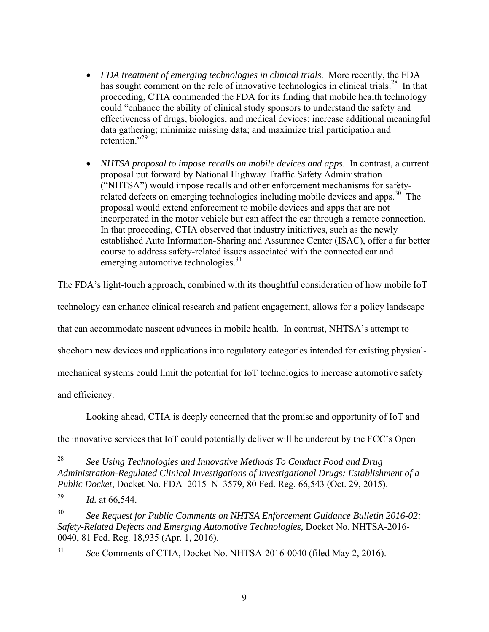- *FDA treatment of emerging technologies in clinical trials.* More recently, the FDA has sought comment on the role of innovative technologies in clinical trials.<sup>28</sup> In that proceeding, CTIA commended the FDA for its finding that mobile health technology could "enhance the ability of clinical study sponsors to understand the safety and effectiveness of drugs, biologics, and medical devices; increase additional meaningful data gathering; minimize missing data; and maximize trial participation and retention."<sup>29</sup>
- *NHTSA proposal to impose recalls on mobile devices and apps*. In contrast, a current proposal put forward by National Highway Traffic Safety Administration ("NHTSA") would impose recalls and other enforcement mechanisms for safetyrelated defects on emerging technologies including mobile devices and apps.<sup>30</sup> The proposal would extend enforcement to mobile devices and apps that are not incorporated in the motor vehicle but can affect the car through a remote connection. In that proceeding, CTIA observed that industry initiatives, such as the newly established Auto Information-Sharing and Assurance Center (ISAC), offer a far better course to address safety-related issues associated with the connected car and emerging automotive technologies.<sup>31</sup>

The FDA's light-touch approach, combined with its thoughtful consideration of how mobile IoT

technology can enhance clinical research and patient engagement, allows for a policy landscape

that can accommodate nascent advances in mobile health. In contrast, NHTSA's attempt to

shoehorn new devices and applications into regulatory categories intended for existing physical-

mechanical systems could limit the potential for IoT technologies to increase automotive safety

and efficiency.

Looking ahead, CTIA is deeply concerned that the promise and opportunity of IoT and

the innovative services that IoT could potentially deliver will be undercut by the FCC's Open

31 *See* Comments of CTIA, Docket No. NHTSA-2016-0040 (filed May 2, 2016).

<sup>28</sup> 28 *See Using Technologies and Innovative Methods To Conduct Food and Drug Administration-Regulated Clinical Investigations of Investigational Drugs; Establishment of a Public Docket*, Docket No. FDA–2015–N–3579, 80 Fed. Reg. 66,543 (Oct. 29, 2015).

<sup>29</sup> *Id.* at 66,544.

<sup>30</sup> *See Request for Public Comments on NHTSA Enforcement Guidance Bulletin 2016-02; Safety-Related Defects and Emerging Automotive Technologies,* Docket No. NHTSA-2016- 0040, 81 Fed. Reg. 18,935 (Apr. 1, 2016).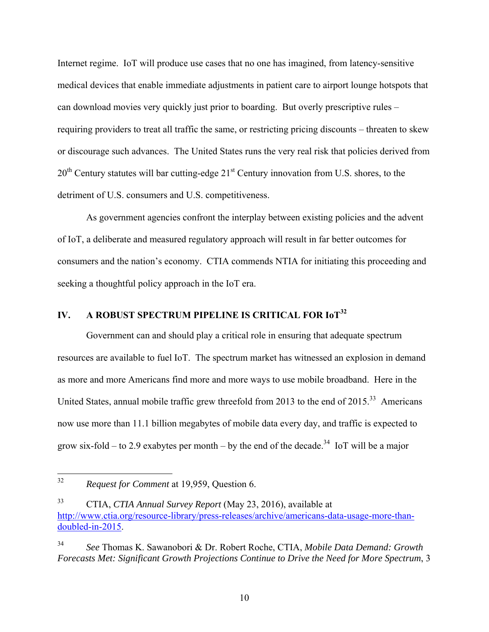Internet regime. IoT will produce use cases that no one has imagined, from latency-sensitive medical devices that enable immediate adjustments in patient care to airport lounge hotspots that can download movies very quickly just prior to boarding. But overly prescriptive rules – requiring providers to treat all traffic the same, or restricting pricing discounts – threaten to skew or discourage such advances. The United States runs the very real risk that policies derived from 20<sup>th</sup> Century statutes will bar cutting-edge 21<sup>st</sup> Century innovation from U.S. shores, to the detriment of U.S. consumers and U.S. competitiveness.

As government agencies confront the interplay between existing policies and the advent of IoT, a deliberate and measured regulatory approach will result in far better outcomes for consumers and the nation's economy. CTIA commends NTIA for initiating this proceeding and seeking a thoughtful policy approach in the IoT era.

# **IV. A ROBUST SPECTRUM PIPELINE IS CRITICAL FOR IoT<sup>32</sup>**

Government can and should play a critical role in ensuring that adequate spectrum resources are available to fuel IoT. The spectrum market has witnessed an explosion in demand as more and more Americans find more and more ways to use mobile broadband. Here in the United States, annual mobile traffic grew threefold from 2013 to the end of  $2015^{33}$  Americans now use more than 11.1 billion megabytes of mobile data every day, and traffic is expected to grow six-fold – to 2.9 exabytes per month – by the end of the decade.<sup>34</sup> IoT will be a major

<sup>32</sup> 32 *Request for Comment* at 19,959, Question 6.

<sup>33</sup> CTIA, *CTIA Annual Survey Report* (May 23, 2016), available at http://www.ctia.org/resource-library/press-releases/archive/americans-data-usage-more-thandoubled-in-2015.

<sup>34</sup> *See* Thomas K. Sawanobori & Dr. Robert Roche, CTIA, *Mobile Data Demand: Growth Forecasts Met: Significant Growth Projections Continue to Drive the Need for More Spectrum*, 3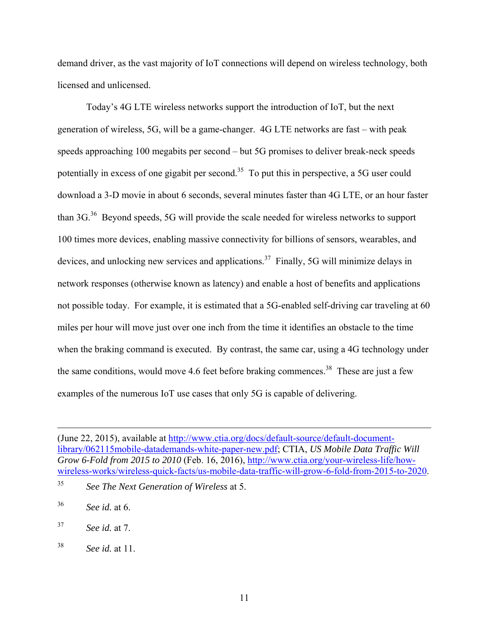demand driver, as the vast majority of IoT connections will depend on wireless technology, both licensed and unlicensed.

Today's 4G LTE wireless networks support the introduction of IoT, but the next generation of wireless, 5G, will be a game-changer. 4G LTE networks are fast – with peak speeds approaching 100 megabits per second – but 5G promises to deliver break-neck speeds potentially in excess of one gigabit per second.<sup>35</sup> To put this in perspective, a 5G user could download a 3-D movie in about 6 seconds, several minutes faster than 4G LTE, or an hour faster than 3G.<sup>36</sup> Beyond speeds, 5G will provide the scale needed for wireless networks to support 100 times more devices, enabling massive connectivity for billions of sensors, wearables, and devices, and unlocking new services and applications.<sup>37</sup> Finally, 5G will minimize delays in network responses (otherwise known as latency) and enable a host of benefits and applications not possible today. For example, it is estimated that a 5G-enabled self-driving car traveling at 60 miles per hour will move just over one inch from the time it identifies an obstacle to the time when the braking command is executed. By contrast, the same car, using a 4G technology under the same conditions, would move 4.6 feet before braking commences.<sup>38</sup> These are just a few examples of the numerous IoT use cases that only 5G is capable of delivering.

 $\overline{a}$ 

<sup>(</sup>June 22, 2015), available at http://www.ctia.org/docs/default-source/default-documentlibrary/062115mobile-datademands-white-paper-new.pdf; CTIA, *US Mobile Data Traffic Will Grow 6-Fold from 2015 to 2010* (Feb. 16, 2016), http://www.ctia.org/your-wireless-life/howwireless-works/wireless-quick-facts/us-mobile-data-traffic-will-grow-6-fold-from-2015-to-2020.

<sup>35</sup> *See The Next Generation of Wireless* at 5.

<sup>36</sup> *See id.* at 6.

<sup>37</sup> *See id.* at 7.

<sup>38</sup> *See id.* at 11.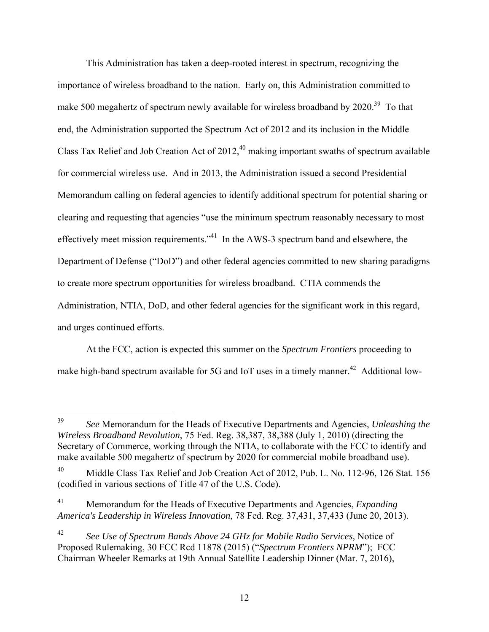This Administration has taken a deep-rooted interest in spectrum, recognizing the importance of wireless broadband to the nation. Early on, this Administration committed to make 500 megahertz of spectrum newly available for wireless broadband by 2020.<sup>39</sup> To that end, the Administration supported the Spectrum Act of 2012 and its inclusion in the Middle Class Tax Relief and Job Creation Act of  $2012<sup>40</sup>$  making important swaths of spectrum available for commercial wireless use. And in 2013, the Administration issued a second Presidential Memorandum calling on federal agencies to identify additional spectrum for potential sharing or clearing and requesting that agencies "use the minimum spectrum reasonably necessary to most effectively meet mission requirements."<sup>41</sup> In the AWS-3 spectrum band and elsewhere, the Department of Defense ("DoD") and other federal agencies committed to new sharing paradigms to create more spectrum opportunities for wireless broadband. CTIA commends the Administration, NTIA, DoD, and other federal agencies for the significant work in this regard, and urges continued efforts.

At the FCC, action is expected this summer on the *Spectrum Frontiers* proceeding to make high-band spectrum available for 5G and IoT uses in a timely manner.<sup>42</sup> Additional low-

<sup>39</sup> 39 *See* Memorandum for the Heads of Executive Departments and Agencies, *Unleashing the Wireless Broadband Revolution*, 75 Fed. Reg. 38,387, 38,388 (July 1, 2010) (directing the Secretary of Commerce, working through the NTIA, to collaborate with the FCC to identify and make available 500 megahertz of spectrum by 2020 for commercial mobile broadband use).

Middle Class Tax Relief and Job Creation Act of 2012, Pub. L. No. 112-96, 126 Stat. 156 (codified in various sections of Title 47 of the U.S. Code).

<sup>41</sup> Memorandum for the Heads of Executive Departments and Agencies, *Expanding America's Leadership in Wireless Innovation*, 78 Fed. Reg. 37,431, 37,433 (June 20, 2013).

<sup>42</sup> *See Use of Spectrum Bands Above 24 GHz for Mobile Radio Services,* Notice of Proposed Rulemaking, 30 FCC Rcd 11878 (2015) ("*Spectrum Frontiers NPRM*"); FCC Chairman Wheeler Remarks at 19th Annual Satellite Leadership Dinner (Mar. 7, 2016),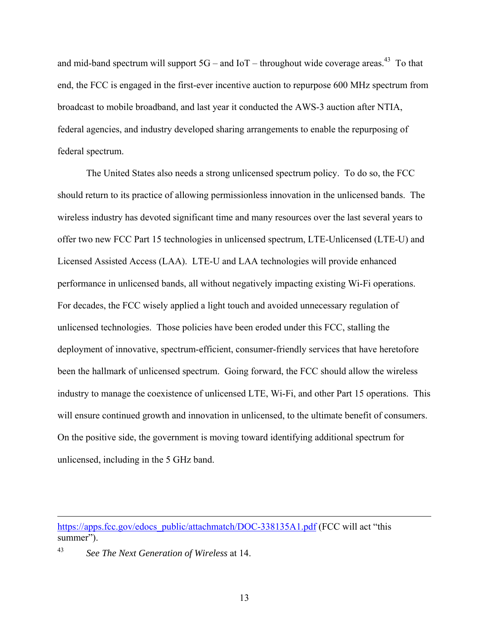and mid-band spectrum will support  $5G$  – and  $I \circ T$  – throughout wide coverage areas.<sup>43</sup> To that end, the FCC is engaged in the first-ever incentive auction to repurpose 600 MHz spectrum from broadcast to mobile broadband, and last year it conducted the AWS-3 auction after NTIA, federal agencies, and industry developed sharing arrangements to enable the repurposing of federal spectrum.

The United States also needs a strong unlicensed spectrum policy. To do so, the FCC should return to its practice of allowing permissionless innovation in the unlicensed bands. The wireless industry has devoted significant time and many resources over the last several years to offer two new FCC Part 15 technologies in unlicensed spectrum, LTE-Unlicensed (LTE-U) and Licensed Assisted Access (LAA). LTE-U and LAA technologies will provide enhanced performance in unlicensed bands, all without negatively impacting existing Wi-Fi operations. For decades, the FCC wisely applied a light touch and avoided unnecessary regulation of unlicensed technologies. Those policies have been eroded under this FCC, stalling the deployment of innovative, spectrum-efficient, consumer-friendly services that have heretofore been the hallmark of unlicensed spectrum. Going forward, the FCC should allow the wireless industry to manage the coexistence of unlicensed LTE, Wi-Fi, and other Part 15 operations. This will ensure continued growth and innovation in unlicensed, to the ultimate benefit of consumers. On the positive side, the government is moving toward identifying additional spectrum for unlicensed, including in the 5 GHz band.

 $\overline{a}$ 

https://apps.fcc.gov/edocs\_public/attachmatch/DOC-338135A1.pdf (FCC will act "this summer").

<sup>43</sup> *See The Next Generation of Wireless* at 14.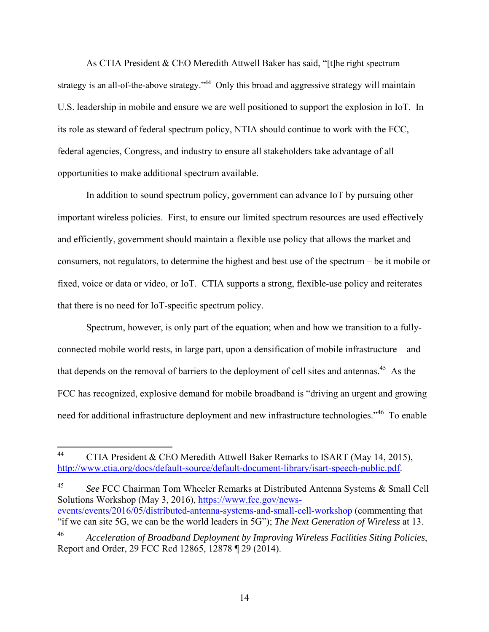As CTIA President & CEO Meredith Attwell Baker has said, "[t]he right spectrum strategy is an all-of-the-above strategy."<sup>44</sup> Only this broad and aggressive strategy will maintain U.S. leadership in mobile and ensure we are well positioned to support the explosion in IoT. In its role as steward of federal spectrum policy, NTIA should continue to work with the FCC, federal agencies, Congress, and industry to ensure all stakeholders take advantage of all opportunities to make additional spectrum available.

In addition to sound spectrum policy, government can advance IoT by pursuing other important wireless policies. First, to ensure our limited spectrum resources are used effectively and efficiently, government should maintain a flexible use policy that allows the market and consumers, not regulators, to determine the highest and best use of the spectrum – be it mobile or fixed, voice or data or video, or IoT. CTIA supports a strong, flexible-use policy and reiterates that there is no need for IoT-specific spectrum policy.

Spectrum, however, is only part of the equation; when and how we transition to a fullyconnected mobile world rests, in large part, upon a densification of mobile infrastructure – and that depends on the removal of barriers to the deployment of cell sites and antennas.<sup>45</sup> As the FCC has recognized, explosive demand for mobile broadband is "driving an urgent and growing need for additional infrastructure deployment and new infrastructure technologies."<sup>46</sup> To enable

45 *See* FCC Chairman Tom Wheeler Remarks at Distributed Antenna Systems & Small Cell Solutions Workshop (May 3, 2016), https://www.fcc.gov/newsevents/events/2016/05/distributed-antenna-systems-and-small-cell-workshop (commenting that "if we can site 5G, we can be the world leaders in 5G"); *The Next Generation of Wireless* at 13.

<sup>44</sup> 44 CTIA President & CEO Meredith Attwell Baker Remarks to ISART (May 14, 2015), http://www.ctia.org/docs/default-source/default-document-library/isart-speech-public.pdf.

<sup>46</sup> *Acceleration of Broadband Deployment by Improving Wireless Facilities Siting Policies*, Report and Order, 29 FCC Rcd 12865, 12878 ¶ 29 (2014).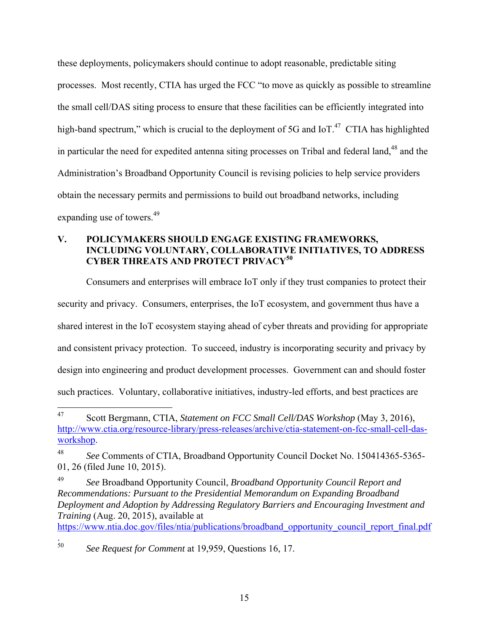these deployments, policymakers should continue to adopt reasonable, predictable siting processes. Most recently, CTIA has urged the FCC "to move as quickly as possible to streamline the small cell/DAS siting process to ensure that these facilities can be efficiently integrated into high-band spectrum," which is crucial to the deployment of 5G and IoT.<sup>47</sup> CTIA has highlighted in particular the need for expedited antenna siting processes on Tribal and federal land, $48$  and the Administration's Broadband Opportunity Council is revising policies to help service providers obtain the necessary permits and permissions to build out broadband networks, including expanding use of towers.<sup>49</sup>

## **V. POLICYMAKERS SHOULD ENGAGE EXISTING FRAMEWORKS, INCLUDING VOLUNTARY, COLLABORATIVE INITIATIVES, TO ADDRESS CYBER THREATS AND PROTECT PRIVACY<sup>50</sup>**

Consumers and enterprises will embrace IoT only if they trust companies to protect their security and privacy. Consumers, enterprises, the IoT ecosystem, and government thus have a shared interest in the IoT ecosystem staying ahead of cyber threats and providing for appropriate and consistent privacy protection. To succeed, industry is incorporating security and privacy by design into engineering and product development processes. Government can and should foster such practices. Voluntary, collaborative initiatives, industry-led efforts, and best practices are

https://www.ntia.doc.gov/files/ntia/publications/broadband\_opportunity\_council\_report\_final.pdf

.<br>50 See Request for Comment at 19,959, Questions 16, 17.

<sup>47</sup> 47 Scott Bergmann, CTIA, *Statement on FCC Small Cell/DAS Workshop* (May 3, 2016), http://www.ctia.org/resource-library/press-releases/archive/ctia-statement-on-fcc-small-cell-dasworkshop.

<sup>48</sup> *See* Comments of CTIA, Broadband Opportunity Council Docket No. 150414365-5365- 01, 26 (filed June 10, 2015).

<sup>49</sup> *See* Broadband Opportunity Council, *Broadband Opportunity Council Report and Recommendations: Pursuant to the Presidential Memorandum on Expanding Broadband Deployment and Adoption by Addressing Regulatory Barriers and Encouraging Investment and Training* (Aug. 20, 2015), available at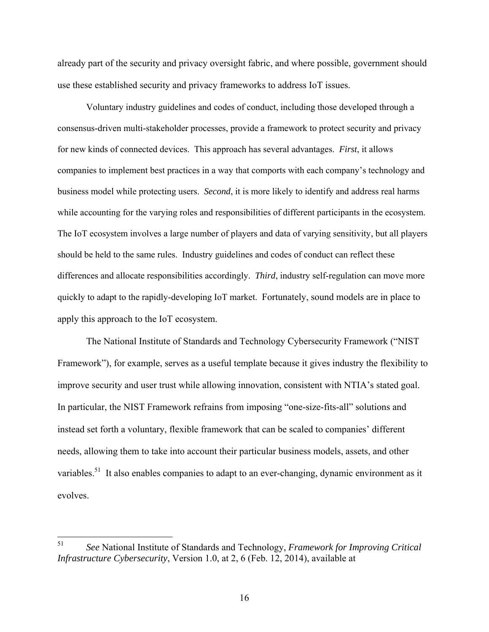already part of the security and privacy oversight fabric, and where possible, government should use these established security and privacy frameworks to address IoT issues.

Voluntary industry guidelines and codes of conduct, including those developed through a consensus-driven multi-stakeholder processes, provide a framework to protect security and privacy for new kinds of connected devices. This approach has several advantages. *First*, it allows companies to implement best practices in a way that comports with each company's technology and business model while protecting users. *Second*, it is more likely to identify and address real harms while accounting for the varying roles and responsibilities of different participants in the ecosystem. The IoT ecosystem involves a large number of players and data of varying sensitivity, but all players should be held to the same rules. Industry guidelines and codes of conduct can reflect these differences and allocate responsibilities accordingly. *Third*, industry self-regulation can move more quickly to adapt to the rapidly-developing IoT market. Fortunately, sound models are in place to apply this approach to the IoT ecosystem.

 The National Institute of Standards and Technology Cybersecurity Framework ("NIST Framework"), for example, serves as a useful template because it gives industry the flexibility to improve security and user trust while allowing innovation, consistent with NTIA's stated goal. In particular, the NIST Framework refrains from imposing "one-size-fits-all" solutions and instead set forth a voluntary, flexible framework that can be scaled to companies' different needs, allowing them to take into account their particular business models, assets, and other variables.<sup>51</sup> It also enables companies to adapt to an ever-changing, dynamic environment as it evolves.

<sup>51</sup> 51 *See* National Institute of Standards and Technology, *Framework for Improving Critical Infrastructure Cybersecurity*, Version 1.0, at 2, 6 (Feb. 12, 2014), available at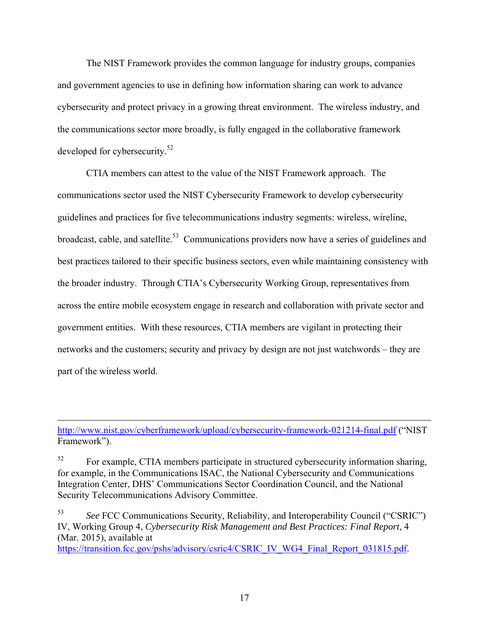The NIST Framework provides the common language for industry groups, companies and government agencies to use in defining how information sharing can work to advance cybersecurity and protect privacy in a growing threat environment. The wireless industry, and the communications sector more broadly, is fully engaged in the collaborative framework developed for cybersecurity.<sup>52</sup>

CTIA members can attest to the value of the NIST Framework approach. The communications sector used the NIST Cybersecurity Framework to develop cybersecurity guidelines and practices for five telecommunications industry segments: wireless, wireline, broadcast, cable, and satellite.<sup>53</sup> Communications providers now have a series of guidelines and best practices tailored to their specific business sectors, even while maintaining consistency with the broader industry. Through CTIA's Cybersecurity Working Group, representatives from across the entire mobile ecosystem engage in research and collaboration with private sector and government entities. With these resources, CTIA members are vigilant in protecting their networks and the customers; security and privacy by design are not just watchwords – they are part of the wireless world.

http://www.nist.gov/cyberframework/upload/cybersecurity-framework-021214-final.pdf ("NIST Framework").

<u>.</u>

<sup>52</sup> For example, CTIA members participate in structured cybersecurity information sharing, for example, in the Communications ISAC, the National Cybersecurity and Communications Integration Center, DHS' Communications Sector Coordination Council, and the National Security Telecommunications Advisory Committee.

53 *See* FCC Communications Security, Reliability, and Interoperability Council ("CSRIC") IV, Working Group 4, *Cybersecurity Risk Management and Best Practices: Final Report*, 4 (Mar. 2015), available at https://transition.fcc.gov/pshs/advisory/csric4/CSRIC\_IV\_WG4\_Final\_Report\_031815.pdf.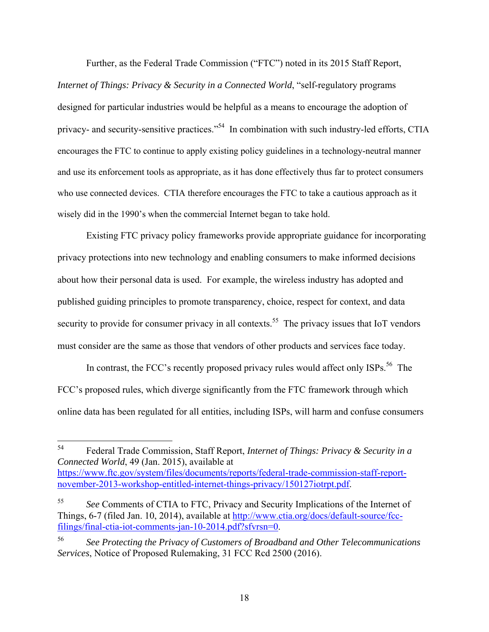Further, as the Federal Trade Commission ("FTC") noted in its 2015 Staff Report,

*Internet of Things: Privacy & Security in a Connected World*, "self-regulatory programs designed for particular industries would be helpful as a means to encourage the adoption of privacy- and security-sensitive practices."54 In combination with such industry-led efforts, CTIA encourages the FTC to continue to apply existing policy guidelines in a technology-neutral manner and use its enforcement tools as appropriate, as it has done effectively thus far to protect consumers who use connected devices. CTIA therefore encourages the FTC to take a cautious approach as it wisely did in the 1990's when the commercial Internet began to take hold.

Existing FTC privacy policy frameworks provide appropriate guidance for incorporating privacy protections into new technology and enabling consumers to make informed decisions about how their personal data is used. For example, the wireless industry has adopted and published guiding principles to promote transparency, choice, respect for context, and data security to provide for consumer privacy in all contexts.<sup>55</sup> The privacy issues that IoT vendors must consider are the same as those that vendors of other products and services face today.

In contrast, the FCC's recently proposed privacy rules would affect only  $ISPs<sup>56</sup>$ . The FCC's proposed rules, which diverge significantly from the FTC framework through which online data has been regulated for all entities, including ISPs, will harm and confuse consumers

<sup>54</sup> 54 Federal Trade Commission, Staff Report, *Internet of Things: Privacy & Security in a Connected World*, 49 (Jan. 2015), available at

https://www.ftc.gov/system/files/documents/reports/federal-trade-commission-staff-reportnovember-2013-workshop-entitled-internet-things-privacy/150127iotrpt.pdf.

<sup>55</sup> *See* Comments of CTIA to FTC, Privacy and Security Implications of the Internet of Things, 6-7 (filed Jan. 10, 2014), available at http://www.ctia.org/docs/default-source/fccfilings/final-ctia-iot-comments-jan-10-2014.pdf?sfvrsn=0.

<sup>56</sup> *See Protecting the Privacy of Customers of Broadband and Other Telecommunications Services*, Notice of Proposed Rulemaking, 31 FCC Rcd 2500 (2016).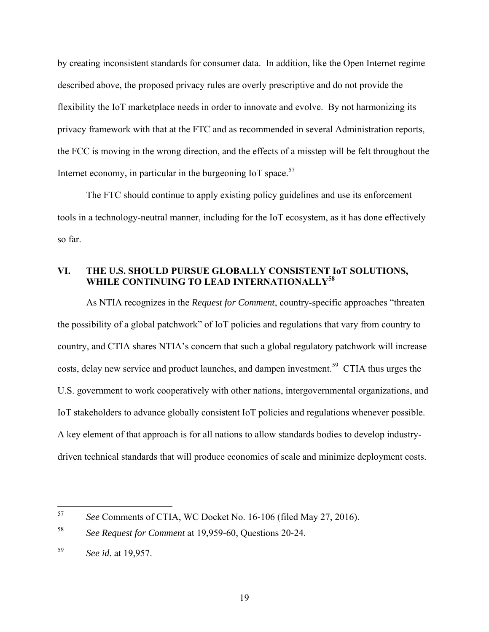by creating inconsistent standards for consumer data. In addition, like the Open Internet regime described above, the proposed privacy rules are overly prescriptive and do not provide the flexibility the IoT marketplace needs in order to innovate and evolve. By not harmonizing its privacy framework with that at the FTC and as recommended in several Administration reports, the FCC is moving in the wrong direction, and the effects of a misstep will be felt throughout the Internet economy, in particular in the burgeoning IoT space.<sup>57</sup>

The FTC should continue to apply existing policy guidelines and use its enforcement tools in a technology-neutral manner, including for the IoT ecosystem, as it has done effectively so far.

### **VI. THE U.S. SHOULD PURSUE GLOBALLY CONSISTENT IoT SOLUTIONS, WHILE CONTINUING TO LEAD INTERNATIONALLY58**

As NTIA recognizes in the *Request for Comment*, country-specific approaches "threaten the possibility of a global patchwork" of IoT policies and regulations that vary from country to country, and CTIA shares NTIA's concern that such a global regulatory patchwork will increase costs, delay new service and product launches, and dampen investment.<sup>59</sup> CTIA thus urges the U.S. government to work cooperatively with other nations, intergovernmental organizations, and IoT stakeholders to advance globally consistent IoT policies and regulations whenever possible. A key element of that approach is for all nations to allow standards bodies to develop industrydriven technical standards that will produce economies of scale and minimize deployment costs.

<sup>57</sup> 57 *See* Comments of CTIA, WC Docket No. 16-106 (filed May 27, 2016).

<sup>58</sup> *See Request for Comment* at 19,959-60, Questions 20-24.

<sup>59</sup> *See id.* at 19,957.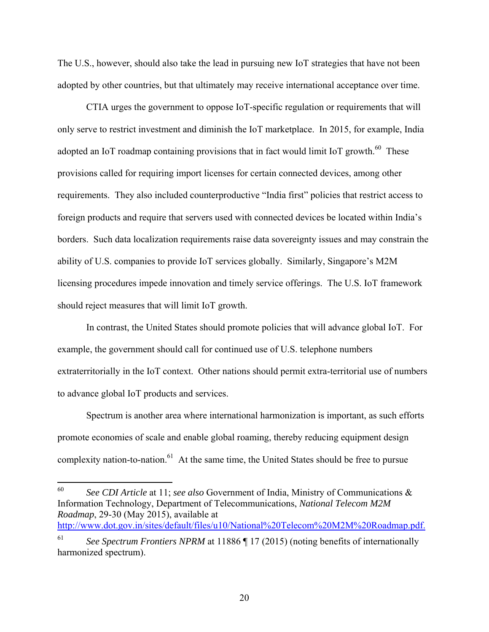The U.S., however, should also take the lead in pursuing new IoT strategies that have not been adopted by other countries, but that ultimately may receive international acceptance over time.

CTIA urges the government to oppose IoT-specific regulation or requirements that will only serve to restrict investment and diminish the IoT marketplace. In 2015, for example, India adopted an IoT roadmap containing provisions that in fact would limit IoT growth.<sup>60</sup> These provisions called for requiring import licenses for certain connected devices, among other requirements. They also included counterproductive "India first" policies that restrict access to foreign products and require that servers used with connected devices be located within India's borders. Such data localization requirements raise data sovereignty issues and may constrain the ability of U.S. companies to provide IoT services globally. Similarly, Singapore's M2M licensing procedures impede innovation and timely service offerings. The U.S. IoT framework should reject measures that will limit IoT growth.

In contrast, the United States should promote policies that will advance global IoT. For example, the government should call for continued use of U.S. telephone numbers extraterritorially in the IoT context. Other nations should permit extra-territorial use of numbers to advance global IoT products and services.

Spectrum is another area where international harmonization is important, as such efforts promote economies of scale and enable global roaming, thereby reducing equipment design complexity nation-to-nation.<sup>61</sup> At the same time, the United States should be free to pursue

60 60 *See CDI Article* at 11; *see also* Government of India, Ministry of Communications & Information Technology, Department of Telecommunications, *National Telecom M2M Roadmap*, 29-30 (May 2015), available at http://www.dot.gov.in/sites/default/files/u10/National%20Telecom%20M2M%20Roadmap.pdf.

20

<sup>61</sup> *See Spectrum Frontiers NPRM* at 11886 ¶ 17 (2015) (noting benefits of internationally harmonized spectrum).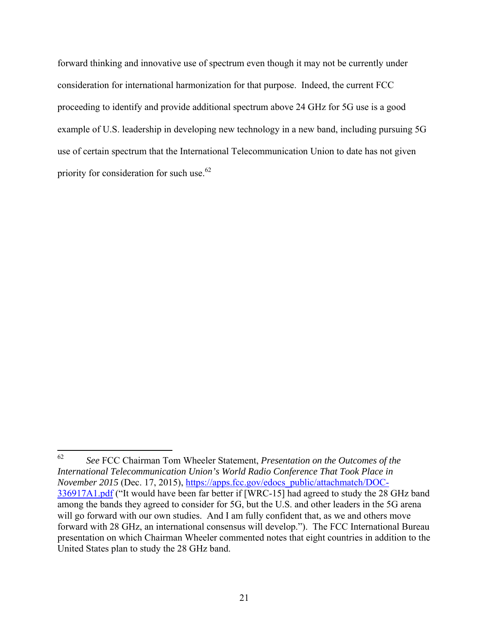forward thinking and innovative use of spectrum even though it may not be currently under consideration for international harmonization for that purpose. Indeed, the current FCC proceeding to identify and provide additional spectrum above 24 GHz for 5G use is a good example of U.S. leadership in developing new technology in a new band, including pursuing 5G use of certain spectrum that the International Telecommunication Union to date has not given priority for consideration for such use.<sup>62</sup>

<sup>62</sup> 62 *See* FCC Chairman Tom Wheeler Statement, *Presentation on the Outcomes of the International Telecommunication Union's World Radio Conference That Took Place in November 2015* (Dec. 17, 2015), https://apps.fcc.gov/edocs\_public/attachmatch/DOC-336917A1.pdf ("It would have been far better if [WRC-15] had agreed to study the 28 GHz band among the bands they agreed to consider for 5G, but the U.S. and other leaders in the 5G arena will go forward with our own studies. And I am fully confident that, as we and others move forward with 28 GHz, an international consensus will develop."). The FCC International Bureau presentation on which Chairman Wheeler commented notes that eight countries in addition to the United States plan to study the 28 GHz band.